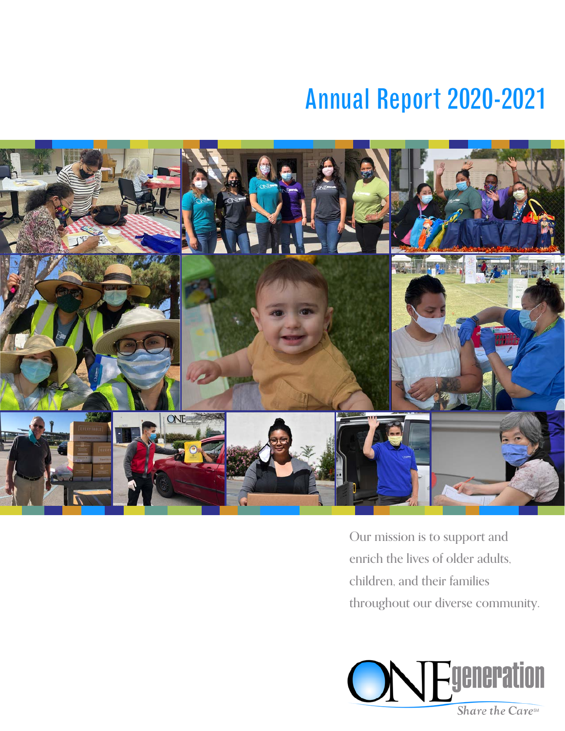# Annual Report 2020-2021



Our mission is to support and enrich the lives of older adults, children, and their families throughout our diverse community.

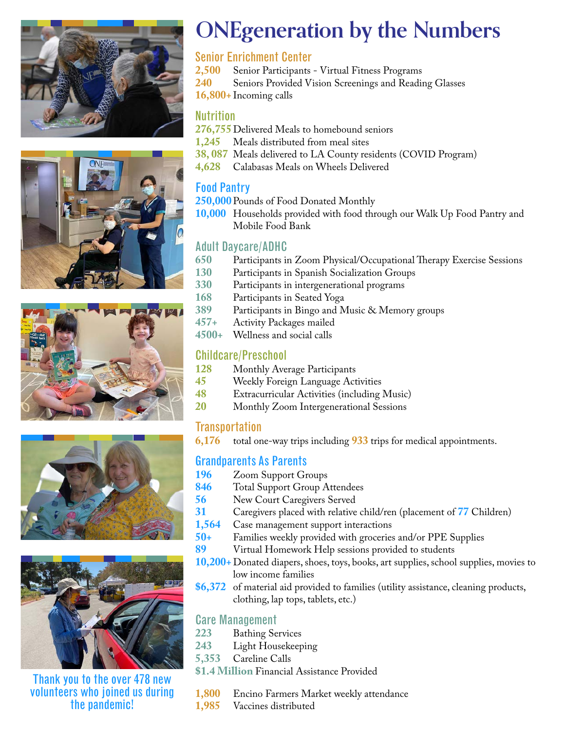









Thank you to the over 478 new volunteers who joined us during the pandemic!

# **ONEgeneration by the Numbers**

#### Senior Enrichment Center

- **2,500** Senior Participants Virtual Fitness Programs
- **240** Seniors Provided Vision Screenings and Reading Glasses
- **16,800+** Incoming calls

#### Nutrition

- 276,755 Delivered Meals to homebound seniors<br>**1.245** Meals distributed from meal sites
- **1,245** Meals distributed from meal sites
- **38, 087** Meals delivered to LA County residents (COVID Program)
- **4,628** Calabasas Meals on Wheels Delivered

#### Food Pantry

- **250,000**Pounds of Food Donated Monthly
- **10,000** Households provided with food through our Walk Up Food Pantry and Mobile Food Bank

#### Adult Daycare/ADHC

- **650** Participants in Zoom Physical/Occupational Therapy Exercise Sessions
- **130** Participants in Spanish Socialization Groups
- **330** Participants in intergenerational programs
- **168** Participants in Seated Yoga
- **389** Participants in Bingo and Music & Memory groups
- **457+** Activity Packages mailed
- **4500+** Wellness and social calls

#### Childcare/Preschool

- **128** Monthly Average Participants
- **45** Weekly Foreign Language Activities
- 
- **48** Extracurricular Activities (including Music) **20** Monthly Zoom Intergenerational Sessions

### Transportation

**6,176** total one-way trips including **933** trips for medical appointments.

#### Grandparents As Parents

- 196 Zoom Support Groups<br>846 Total Support Group A
- 846 Total Support Group Attendees<br>56 New Court Caregivers Served
- **56** New Court Caregivers Served<br>**31** Caregivers placed with relative
- **31** Caregivers placed with relative child/ren (placement of **77** Children)
- **1,564** Case management support interactions<br>**50+** Families weekly provided with groceries
- **50+** Families weekly provided with groceries and/or PPE Supplies
- **89** Virtual Homework Help sessions provided to students
- **10,200+** Donated diapers, shoes, toys, books, art supplies, school supplies, movies to low income families
- **\$6,372** of material aid provided to families (utility assistance, cleaning products, clothing, lap tops, tablets, etc.)

#### Care Management

- **223** Bathing Services
- **243** Light Housekeeping
- **5,353** Careline Calls
- **\$1.4 Million** Financial Assistance Provided
- **1,800** Encino Farmers Market weekly attendance
- **1,985** Vaccines distributed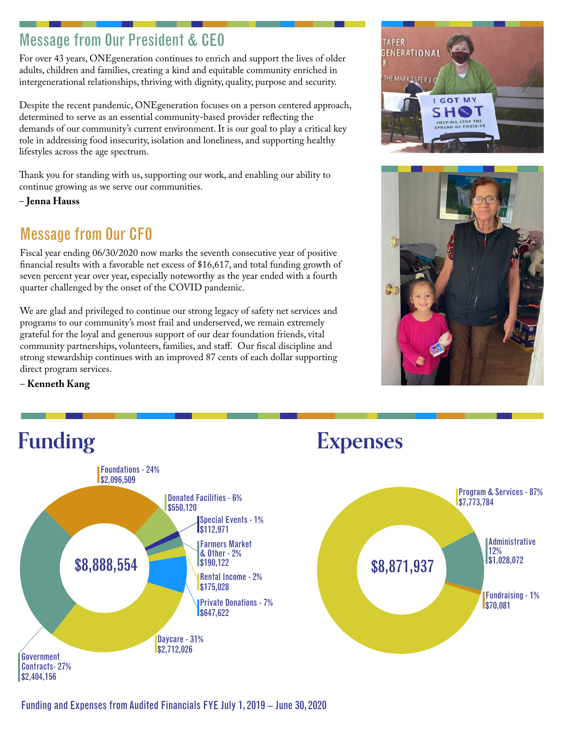### **Message from Our President & CEO**

For over 43 years, ONEgeneration continues to enrich and support the lives of older adults, children and families, creating a kind and equitable community enriched in intergenerational relationships, thriving with dignity, quality, purpose and security.

Despite the recent pandemic, ONEgeneration focuses on a person centered approach, determined to serve as an essential community-based provider reflecting the demands of our community's current environment. It is our goal to play a critical key role in addressing food insecurity, isolation and loneliness, and supporting healthy lifestyles across the age spectrum.

Thank you for standing with us, supporting our work, and enabling our ability to continue growing as we serve our communities.

– **Jenna Hauss**

## Message from Our CFO

Fiscal year ending 06/30/2020 now marks the seventh consecutive year of positive financial results with a favorable net excess of \$16,617, and total funding growth of seven percent year over year, especially noteworthy as the year ended with a fourth quarter challenged by the onset of the COVID pandemic.

We are glad and privileged to continue our strong legacy of safety net services and programs to our community's most frail and underserved, we remain extremely grateful for the loyal and generous support of our dear foundation friends, vital community partnerships, volunteers, families, and staff. Our fiscal discipline and strong stewardship continues with an improved 87 cents of each dollar supporting direct program services.





– **Kenneth Kang**